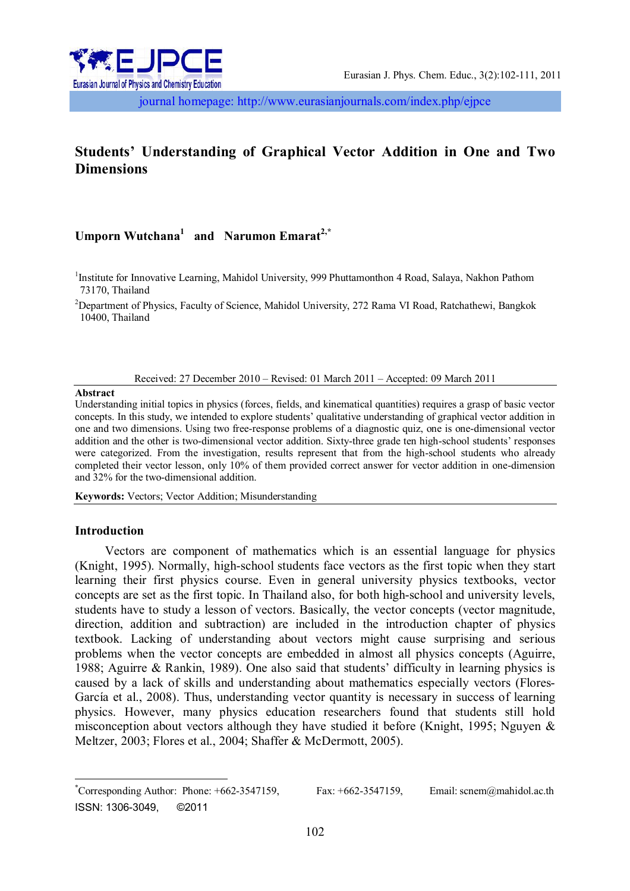

journal homepage: http://www.eurasianjournals.com/index.php/ejpce

# **Students' Understanding of Graphical Vector Addition in One and Two Dimensions**

# **Umporn Wutchana<sup>1</sup> and Narumon Emarat2,\***

<sup>1</sup>Institute for Innovative Learning, Mahidol University, 999 Phuttamonthon 4 Road, Salaya, Nakhon Pathom 73170, Thailand

<sup>2</sup>Department of Physics, Faculty of Science, Mahidol University, 272 Rama VI Road, Ratchathewi, Bangkok 10400, Thailand

Received: 27 December 2010 – Revised: 01 March 2011 – Accepted: 09 March 2011

#### **Abstract**

Understanding initial topics in physics (forces, fields, and kinematical quantities) requires a grasp of basic vector concepts. In this study, we intended to explore students' qualitative understanding of graphical vector addition in one and two dimensions. Using two free-response problems of a diagnostic quiz, one is one-dimensional vector addition and the other is two-dimensional vector addition. Sixty-three grade ten high-school students' responses were categorized. From the investigation, results represent that from the high-school students who already completed their vector lesson, only 10% of them provided correct answer for vector addition in one-dimension and 32% for the two-dimensional addition.

**Keywords:** Vectors; Vector Addition; Misunderstanding

## **Introduction**

 $\overline{\phantom{a}}$ 

Vectors are component of mathematics which is an essential language for physics (Knight, 1995). Normally, high-school students face vectors as the first topic when they start learning their first physics course. Even in general university physics textbooks, vector concepts are set as the first topic. In Thailand also, for both high-school and university levels, students have to study a lesson of vectors. Basically, the vector concepts (vector magnitude, direction, addition and subtraction) are included in the introduction chapter of physics textbook. Lacking of understanding about vectors might cause surprising and serious problems when the vector concepts are embedded in almost all physics concepts (Aguirre, 1988; Aguirre & Rankin, 1989). One also said that students' difficulty in learning physics is caused by a lack of skills and understanding about mathematics especially vectors (Flores-García et al., 2008). Thus, understanding vector quantity is necessary in success of learning physics. However, many physics education researchers found that students still hold misconception about vectors although they have studied it before (Knight, 1995; Nguyen & Meltzer, 2003; Flores et al., 2004; Shaffer & McDermott, 2005).

<sup>\*</sup>Corresponding Author: Phone: +662-3547159, Fax: +662-3547159, Email: scnem@mahidol.ac.th ISSN: 1306-3049, ©2011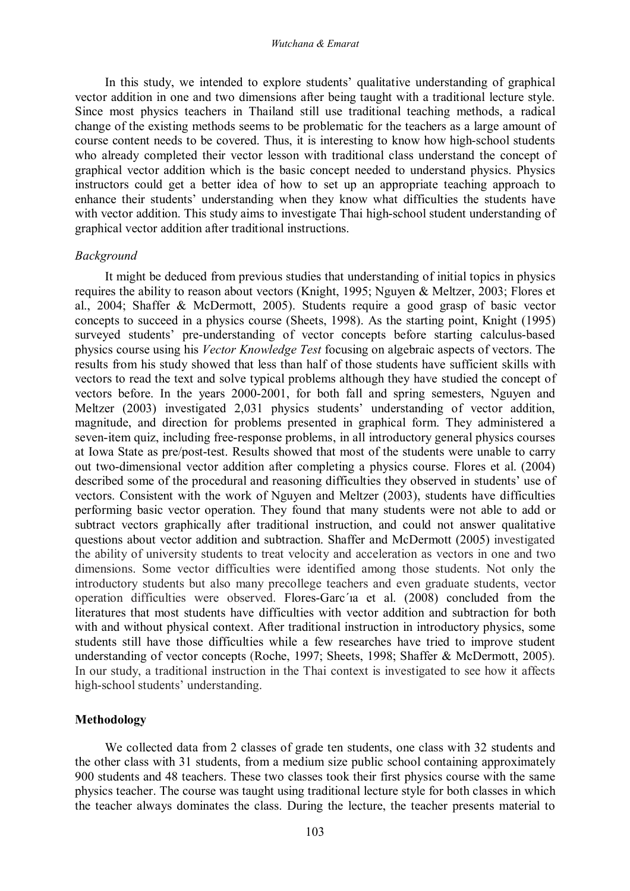In this study, we intended to explore students' qualitative understanding of graphical vector addition in one and two dimensions after being taught with a traditional lecture style. Since most physics teachers in Thailand still use traditional teaching methods, a radical change of the existing methods seems to be problematic for the teachers as a large amount of course content needs to be covered. Thus, it is interesting to know how high-school students who already completed their vector lesson with traditional class understand the concept of graphical vector addition which is the basic concept needed to understand physics. Physics instructors could get a better idea of how to set up an appropriate teaching approach to enhance their students' understanding when they know what difficulties the students have with vector addition. This study aims to investigate Thai high-school student understanding of graphical vector addition after traditional instructions.

### *Background*

It might be deduced from previous studies that understanding of initial topics in physics requires the ability to reason about vectors (Knight, 1995; Nguyen & Meltzer, 2003; Flores et al., 2004; Shaffer & McDermott, 2005). Students require a good grasp of basic vector concepts to succeed in a physics course (Sheets, 1998). As the starting point, Knight (1995) surveyed students' pre-understanding of vector concepts before starting calculus-based physics course using his *Vector Knowledge Test* focusing on algebraic aspects of vectors. The results from his study showed that less than half of those students have sufficient skills with vectors to read the text and solve typical problems although they have studied the concept of vectors before. In the years 2000-2001, for both fall and spring semesters, Nguyen and Meltzer (2003) investigated 2,031 physics students' understanding of vector addition, magnitude, and direction for problems presented in graphical form. They administered a seven-item quiz, including free-response problems, in all introductory general physics courses at Iowa State as pre/post-test. Results showed that most of the students were unable to carry out two-dimensional vector addition after completing a physics course. Flores et al. (2004) described some of the procedural and reasoning difficulties they observed in students' use of vectors. Consistent with the work of Nguyen and Meltzer (2003), students have difficulties performing basic vector operation. They found that many students were not able to add or subtract vectors graphically after traditional instruction, and could not answer qualitative questions about vector addition and subtraction. Shaffer and McDermott (2005) investigated the ability of university students to treat velocity and acceleration as vectors in one and two dimensions. Some vector difficulties were identified among those students. Not only the introductory students but also many precollege teachers and even graduate students, vector operation difficulties were observed. Flores-Garc´ıa et al. (2008) concluded from the literatures that most students have difficulties with vector addition and subtraction for both with and without physical context. After traditional instruction in introductory physics, some students still have those difficulties while a few researches have tried to improve student understanding of vector concepts (Roche, 1997; Sheets, 1998; Shaffer & McDermott, 2005). In our study, a traditional instruction in the Thai context is investigated to see how it affects high-school students' understanding.

# **Methodology**

We collected data from 2 classes of grade ten students, one class with 32 students and the other class with 31 students, from a medium size public school containing approximately 900 students and 48 teachers. These two classes took their first physics course with the same physics teacher. The course was taught using traditional lecture style for both classes in which the teacher always dominates the class. During the lecture, the teacher presents material to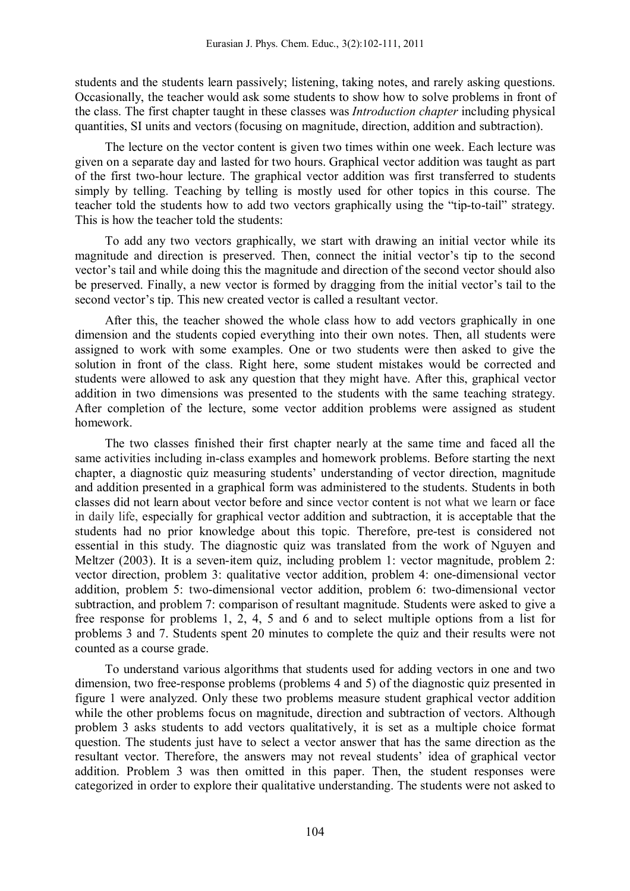students and the students learn passively; listening, taking notes, and rarely asking questions. Occasionally, the teacher would ask some students to show how to solve problems in front of the class. The first chapter taught in these classes was *Introduction chapter* including physical quantities, SI units and vectors (focusing on magnitude, direction, addition and subtraction).

The lecture on the vector content is given two times within one week. Each lecture was given on a separate day and lasted for two hours. Graphical vector addition was taught as part of the first two-hour lecture. The graphical vector addition was first transferred to students simply by telling. Teaching by telling is mostly used for other topics in this course. The teacher told the students how to add two vectors graphically using the "tip-to-tail" strategy. This is how the teacher told the students:

To add any two vectors graphically, we start with drawing an initial vector while its magnitude and direction is preserved. Then, connect the initial vector's tip to the second vector's tail and while doing this the magnitude and direction of the second vector should also be preserved. Finally, a new vector is formed by dragging from the initial vector's tail to the second vector's tip. This new created vector is called a resultant vector.

After this, the teacher showed the whole class how to add vectors graphically in one dimension and the students copied everything into their own notes. Then, all students were assigned to work with some examples. One or two students were then asked to give the solution in front of the class. Right here, some student mistakes would be corrected and students were allowed to ask any question that they might have. After this, graphical vector addition in two dimensions was presented to the students with the same teaching strategy. After completion of the lecture, some vector addition problems were assigned as student homework.

The two classes finished their first chapter nearly at the same time and faced all the same activities including in-class examples and homework problems. Before starting the next chapter, a diagnostic quiz measuring students' understanding of vector direction, magnitude and addition presented in a graphical form was administered to the students. Students in both classes did not learn about vector before and since vector content is not what we learn or face in daily life, especially for graphical vector addition and subtraction, it is acceptable that the students had no prior knowledge about this topic. Therefore, pre-test is considered not essential in this study. The diagnostic quiz was translated from the work of Nguyen and Meltzer (2003). It is a seven-item quiz, including problem 1: vector magnitude, problem 2: vector direction, problem 3: qualitative vector addition, problem 4: one-dimensional vector addition, problem 5: two-dimensional vector addition, problem 6: two-dimensional vector subtraction, and problem 7: comparison of resultant magnitude. Students were asked to give a free response for problems 1, 2, 4, 5 and 6 and to select multiple options from a list for problems 3 and 7. Students spent 20 minutes to complete the quiz and their results were not counted as a course grade.

To understand various algorithms that students used for adding vectors in one and two dimension, two free-response problems (problems 4 and 5) of the diagnostic quiz presented in figure 1 were analyzed. Only these two problems measure student graphical vector addition while the other problems focus on magnitude, direction and subtraction of vectors. Although problem 3 asks students to add vectors qualitatively, it is set as a multiple choice format question. The students just have to select a vector answer that has the same direction as the resultant vector. Therefore, the answers may not reveal students' idea of graphical vector addition. Problem 3 was then omitted in this paper. Then, the student responses were categorized in order to explore their qualitative understanding. The students were not asked to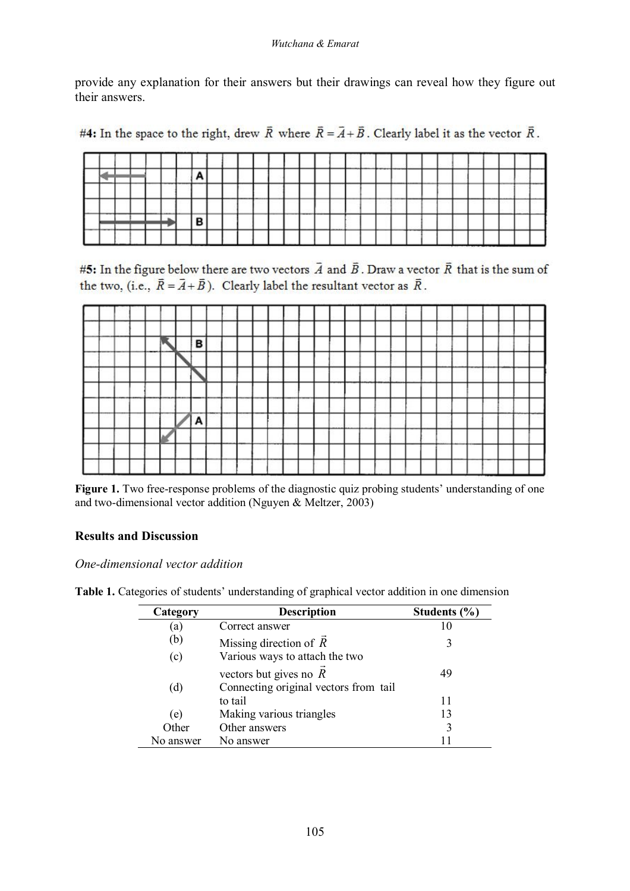provide any explanation for their answers but their drawings can reveal how they figure out their answers.

#4: In the space to the right, drew  $\overline{R}$  where  $\overline{R} = \overline{A} + \overline{B}$ . Clearly label it as the vector  $\overline{R}$ .

|                                                    |                   |  | ----- | _____ |   |  |        |    |    |  |      | ------ |                                                           |      |  |  |       |                               | _______ |      |
|----------------------------------------------------|-------------------|--|-------|-------|---|--|--------|----|----|--|------|--------|-----------------------------------------------------------|------|--|--|-------|-------------------------------|---------|------|
|                                                    |                   |  |       |       |   |  | ______ | __ | __ |  |      |        | <b>CONSULTANT COMPANY IN CONTRACT OF A REAL PROPERTY.</b> | ____ |  |  | ----- | --------------------<br>----- |         | ---- |
| -                                                  | <b>STATISTICS</b> |  |       |       |   |  |        |    |    |  |      |        |                                                           |      |  |  |       |                               |         |      |
| <b><i>CONTRACTOR CONTRACTOR COMMUNICATIONS</i></b> |                   |  | .     |       | о |  |        |    |    |  | ____ |        |                                                           |      |  |  |       |                               |         |      |
|                                                    |                   |  |       |       |   |  |        |    |    |  |      |        |                                                           | __   |  |  |       |                               |         |      |

#5: In the figure below there are two vectors  $\vec{A}$  and  $\vec{B}$ . Draw a vector  $\vec{R}$  that is the sum of the two, (i.e.,  $\vec{R} = \vec{A} + \vec{B}$ ). Clearly label the resultant vector as  $\vec{R}$ .



Figure 1. Two free-response problems of the diagnostic quiz probing students' understanding of one and two-dimensional vector addition (Nguyen & Meltzer, 2003)

# **Results and Discussion**

*One-dimensional vector addition*

| Category  | <b>Description</b>                        | Students $(\% )$ |
|-----------|-------------------------------------------|------------------|
| (a)       | Correct answer                            | 10               |
| (b)       | Missing direction of $\overrightarrow{R}$ | 3                |
| (c)       | Various ways to attach the two            |                  |
|           | vectors but gives no $\overline{R}$       | 49               |
| (d)       | Connecting original vectors from tail     |                  |
|           | to tail                                   | 11               |
| (e)       | Making various triangles                  | 13               |
| Other     | Other answers                             | 3                |
| No answer | No answer                                 |                  |

**Table 1.** Categories of students' understanding of graphical vector addition in one dimension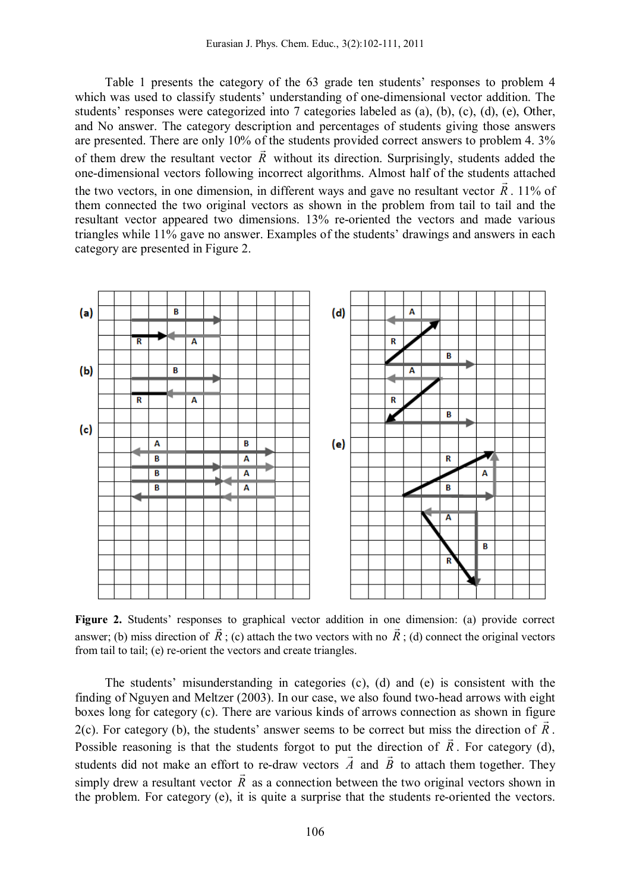Table 1 presents the category of the 63 grade ten students' responses to problem 4 which was used to classify students' understanding of one-dimensional vector addition. The students' responses were categorized into 7 categories labeled as (a), (b), (c), (d), (e), Other, and No answer. The category description and percentages of students giving those answers are presented. There are only 10% of the students provided correct answers to problem 4.  $3\%$ of them drew the resultant vector *R* without its direction. Surprisingly, students added the one-dimensional vectors following incorrect algorithms. Almost half of the students attached the two vectors, in one dimension, in different ways and gave no resultant vector  $R$ . 11% of them connected the two original vectors as shown in the problem from tail to tail and the resultant vector appeared two dimensions. 13% re-oriented the vectors and made various triangles while 11% gave no answer. Examples of the students' drawings and answers in each category are presented in Figure 2.



**Figure 2.** Students' responses to graphical vector addition in one dimension: (a) provide correct answer; (b) miss direction of  $R$ ; (c) attach the two vectors with no  $R$ ; (d) connect the original vectors from tail to tail; (e) re-orient the vectors and create triangles.

The students' misunderstanding in categories (c), (d) and (e) is consistent with the finding of Nguyen and Meltzer (2003). In our case, we also found two-head arrows with eight boxes long for category (c). There are various kinds of arrows connection as shown in figure 2(c). For category (b), the students' answer seems to be correct but miss the direction of *R*. Possible reasoning is that the students forgot to put the direction of  $R$ . For category (d), students did not make an effort to re-draw vectors  $A$  and  $B$  to attach them together. They simply drew a resultant vector  $R$  as a connection between the two original vectors shown in the problem. For category (e), it is quite a surprise that the students re-oriented the vectors.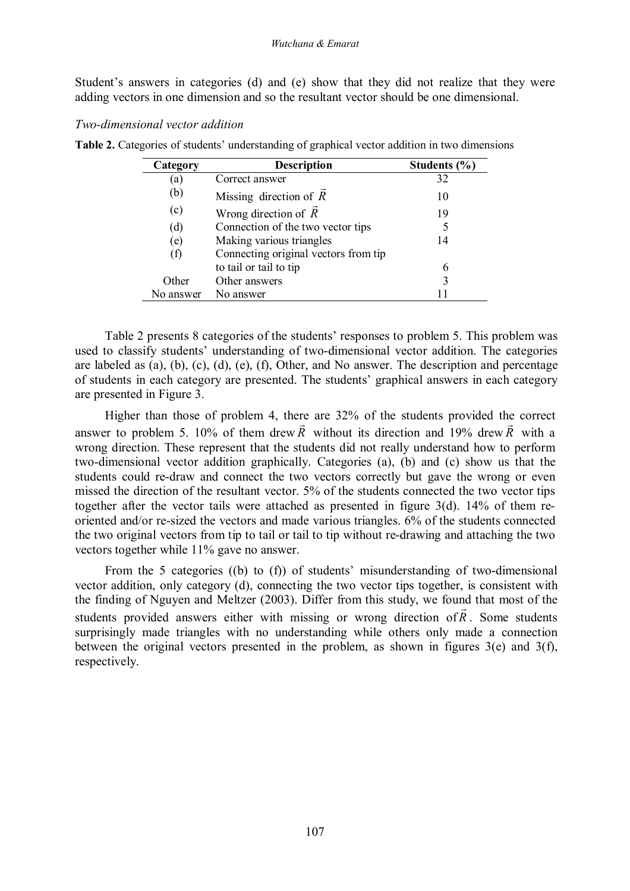Student's answers in categories (d) and (e) show that they did not realize that they were adding vectors in one dimension and so the resultant vector should be one dimensional.

### *Two-dimensional vector addition*

| Category  | <b>Description</b>                        | Students $(\% )$ |
|-----------|-------------------------------------------|------------------|
| (a)       | Correct answer                            | 32               |
| (b)       | Missing direction of $\overrightarrow{R}$ | 10               |
| (c)       | Wrong direction of $R$                    | 19               |
| (d)       | Connection of the two vector tips         |                  |
| (e)       | Making various triangles                  | 14               |
| (f)       | Connecting original vectors from tip      |                  |
|           | to tail or tail to tip                    | 6                |
| Other     | Other answers                             |                  |
| No answer | No answer                                 |                  |

**Table 2.** Categories of students' understanding of graphical vector addition in two dimensions

Table 2 presents 8 categories of the students' responses to problem 5. This problem was used to classify students' understanding of two-dimensional vector addition. The categories are labeled as (a), (b), (c), (d), (e), (f), Other, and No answer. The description and percentage of students in each category are presented. The students' graphical answers in each category are presented in Figure 3.

Higher than those of problem 4, there are  $32\%$  of the students provided the correct answer to problem 5. 10% of them drew *R* without its direction and 19% drew *R* with a wrong direction. These represent that the students did not really understand how to perform two-dimensional vector addition graphically. Categories (a), (b) and (c) show us that the students could re-draw and connect the two vectors correctly but gave the wrong or even missed the direction of the resultant vector. 5% of the students connected the two vector tips together after the vector tails were attached as presented in figure 3(d). 14% of them reoriented and/or re-sized the vectors and made various triangles. 6% of the students connected the two original vectors from tip to tail or tail to tip without re-drawing and attaching the two vectors together while 11% gave no answer.

From the 5 categories ((b) to (f)) of students' misunderstanding of two-dimensional vector addition, only category (d), connecting the two vector tips together, is consistent with the finding of Nguyen and Meltzer (2003). Differ from this study, we found that most of the students provided answers either with missing or wrong direction of*R* . Some students surprisingly made triangles with no understanding while others only made a connection between the original vectors presented in the problem, as shown in figures 3(e) and 3(f), respectively.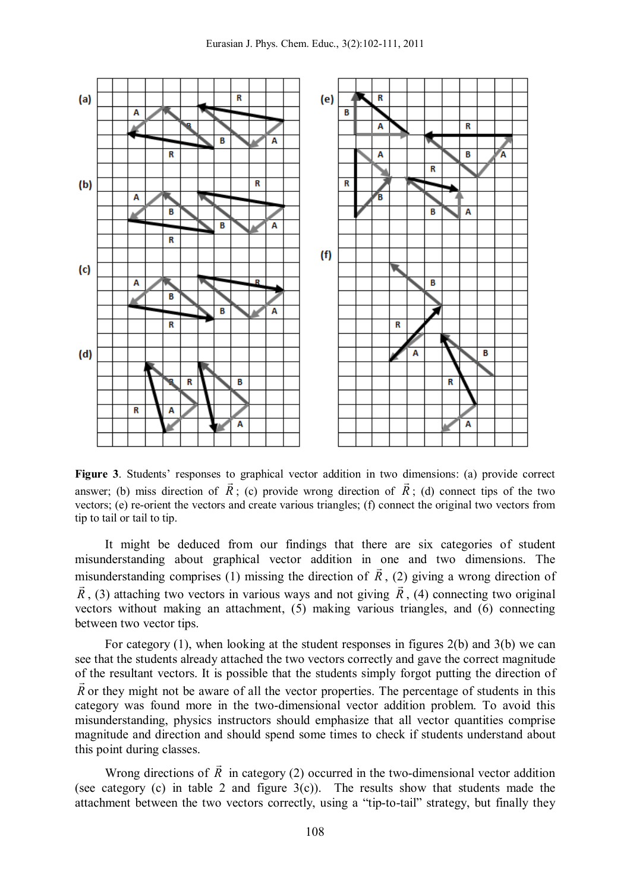

**Figure 3**. Students' responses to graphical vector addition in two dimensions: (a) provide correct answer; (b) miss direction of  $R$ ; (c) provide wrong direction of  $R$ ; (d) connect tips of the two vectors; (e) re-orient the vectors and create various triangles; (f) connect the original two vectors from tip to tail or tail to tip.

It might be deduced from our findings that there are six categories of student misunderstanding about graphical vector addition in one and two dimensions. The misunderstanding comprises (1) missing the direction of *R* , (2) giving a wrong direction of *R*, (3) attaching two vectors in various ways and not giving *R*, (4) connecting two original vectors without making an attachment, (5) making various triangles, and (6) connecting between two vector tips.

For category (1), when looking at the student responses in figures 2(b) and 3(b) we can see that the students already attached the two vectors correctly and gave the correct magnitude of the resultant vectors. It is possible that the students simply forgot putting the direction of *R* or they might not be aware of all the vector properties. The percentage of students in this category was found more in the two-dimensional vector addition problem. To avoid this misunderstanding, physics instructors should emphasize that all vector quantities comprise magnitude and direction and should spend some times to check if students understand about this point during classes.

Wrong directions of *R*  $\overline{a}$ in category (2) occurred in the two-dimensional vector addition (see category  $(c)$  in table 2 and figure  $3(c)$ ). The results show that students made the attachment between the two vectors correctly, using a "tip-to-tail" strategy, but finally they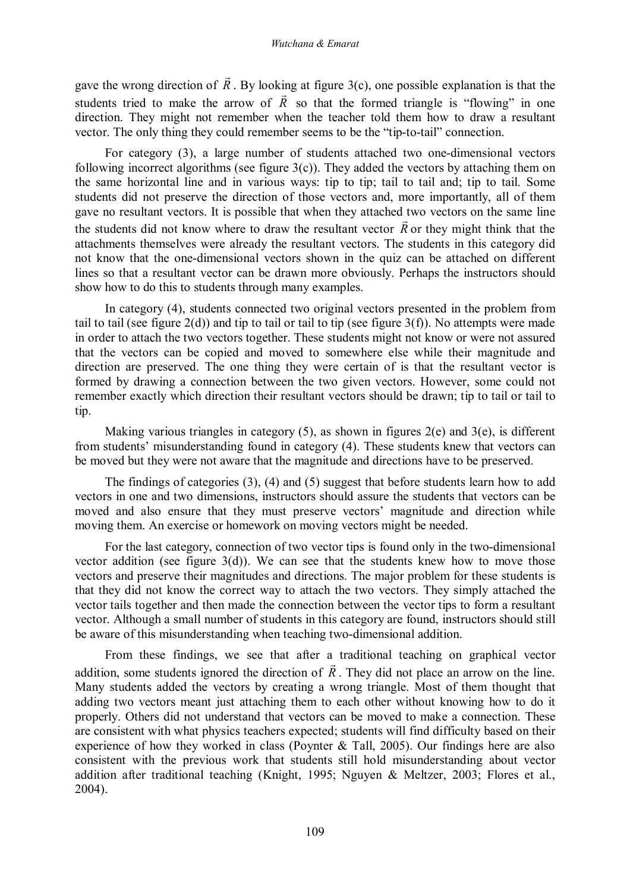gave the wrong direction of *R*  $\rightarrow$ . By looking at figure 3(c), one possible explanation is that the students tried to make the arrow of  $R$  so that the formed triangle is "flowing" in one direction. They might not remember when the teacher told them how to draw a resultant vector. The only thing they could remember seems to be the "tip-to-tail" connection.

For category (3), a large number of students attached two one-dimensional vectors following incorrect algorithms (see figure  $3(c)$ ). They added the vectors by attaching them on the same horizontal line and in various ways: tip to tip; tail to tail and; tip to tail. Some students did not preserve the direction of those vectors and, more importantly, all of them gave no resultant vectors. It is possible that when they attached two vectors on the same line the students did not know where to draw the resultant vector *R* or they might think that the attachments themselves were already the resultant vectors. The students in this category did not know that the one-dimensional vectors shown in the quiz can be attached on different lines so that a resultant vector can be drawn more obviously. Perhaps the instructors should show how to do this to students through many examples.

In category (4), students connected two original vectors presented in the problem from tail to tail (see figure  $2(d)$ ) and tip to tail or tail to tip (see figure  $3(f)$ ). No attempts were made in order to attach the two vectors together. These students might not know or were not assured that the vectors can be copied and moved to somewhere else while their magnitude and direction are preserved. The one thing they were certain of is that the resultant vector is formed by drawing a connection between the two given vectors. However, some could not remember exactly which direction their resultant vectors should be drawn; tip to tail or tail to tip.

Making various triangles in category  $(5)$ , as shown in figures  $2(e)$  and  $3(e)$ , is different from students' misunderstanding found in category (4). These students knew that vectors can be moved but they were not aware that the magnitude and directions have to be preserved.

The findings of categories (3), (4) and (5) suggest that before students learn how to add vectors in one and two dimensions, instructors should assure the students that vectors can be moved and also ensure that they must preserve vectors' magnitude and direction while moving them. An exercise or homework on moving vectors might be needed.

For the last category, connection of two vector tips is found only in the two-dimensional vector addition (see figure  $3(d)$ ). We can see that the students knew how to move those vectors and preserve their magnitudes and directions. The major problem for these students is that they did not know the correct way to attach the two vectors. They simply attached the vector tails together and then made the connection between the vector tips to form a resultant vector. Although a small number of students in this category are found, instructors should still be aware of this misunderstanding when teaching two-dimensional addition.

From these findings, we see that after a traditional teaching on graphical vector addition, some students ignored the direction of *R* . They did not place an arrow on the line. Many students added the vectors by creating a wrong triangle. Most of them thought that adding two vectors meant just attaching them to each other without knowing how to do it properly. Others did not understand that vectors can be moved to make a connection. These are consistent with what physics teachers expected; students will find difficulty based on their experience of how they worked in class (Poynter & Tall, 2005). Our findings here are also consistent with the previous work that students still hold misunderstanding about vector addition after traditional teaching (Knight, 1995; Nguyen & Meltzer, 2003; Flores et al., 2004).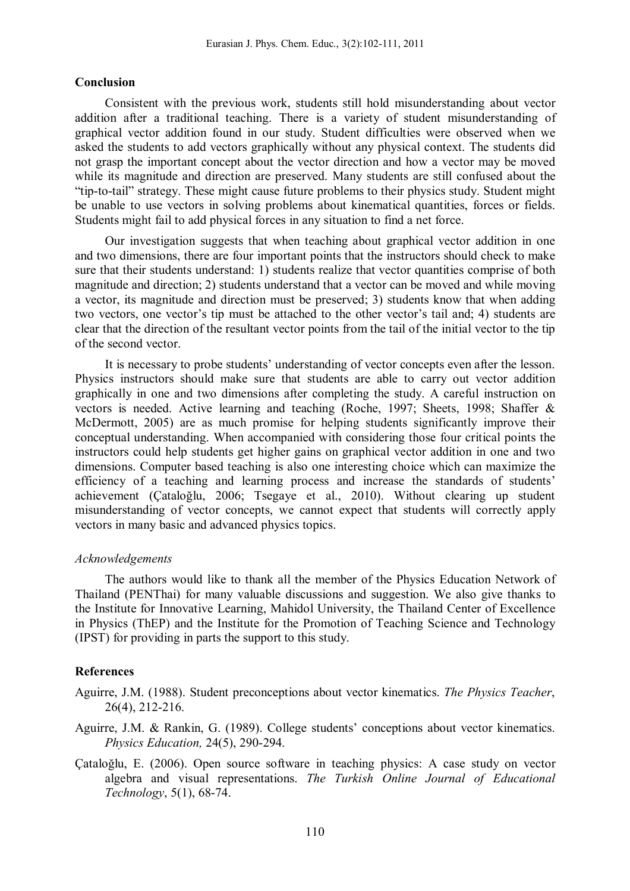### **Conclusion**

Consistent with the previous work, students still hold misunderstanding about vector addition after a traditional teaching. There is a variety of student misunderstanding of graphical vector addition found in our study. Student difficulties were observed when we asked the students to add vectors graphically without any physical context. The students did not grasp the important concept about the vector direction and how a vector may be moved while its magnitude and direction are preserved. Many students are still confused about the "tip-to-tail" strategy. These might cause future problems to their physics study. Student might be unable to use vectors in solving problems about kinematical quantities, forces or fields. Students might fail to add physical forces in any situation to find a net force.

Our investigation suggests that when teaching about graphical vector addition in one and two dimensions, there are four important points that the instructors should check to make sure that their students understand: 1) students realize that vector quantities comprise of both magnitude and direction; 2) students understand that a vector can be moved and while moving a vector, its magnitude and direction must be preserved; 3) students know that when adding two vectors, one vector's tip must be attached to the other vector's tail and; 4) students are clear that the direction of the resultant vector points from the tail of the initial vector to the tip of the second vector.

It is necessary to probe students' understanding of vector concepts even after the lesson. Physics instructors should make sure that students are able to carry out vector addition graphically in one and two dimensions after completing the study. A careful instruction on vectors is needed. Active learning and teaching (Roche, 1997; Sheets, 1998; Shaffer & McDermott, 2005) are as much promise for helping students significantly improve their conceptual understanding. When accompanied with considering those four critical points the instructors could help students get higher gains on graphical vector addition in one and two dimensions. Computer based teaching is also one interesting choice which can maximize the efficiency of a teaching and learning process and increase the standards of students' achievement (Çataloğlu, 2006; Tsegaye et al., 2010). Without clearing up student misunderstanding of vector concepts, we cannot expect that students will correctly apply vectors in many basic and advanced physics topics.

### *Acknowledgements*

The authors would like to thank all the member of the Physics Education Network of Thailand (PENThai) for many valuable discussions and suggestion. We also give thanks to the Institute for Innovative Learning, Mahidol University, the Thailand Center of Excellence in Physics (ThEP) and the Institute for the Promotion of Teaching Science and Technology (IPST) for providing in parts the support to this study.

### **References**

Aguirre, J.M. (1988). Student preconceptions about vector kinematics. *The Physics Teacher*, 26(4), 212-216.

- Aguirre, J.M. & Rankin, G. (1989). College students' conceptions about vector kinematics. *Physics Education,* 24(5), 290-294.
- Çataloğlu, E. (2006). Open source software in teaching physics: A case study on vector algebra and visual representations. *The Turkish Online Journal of Educational Technology*, 5(1), 68-74.